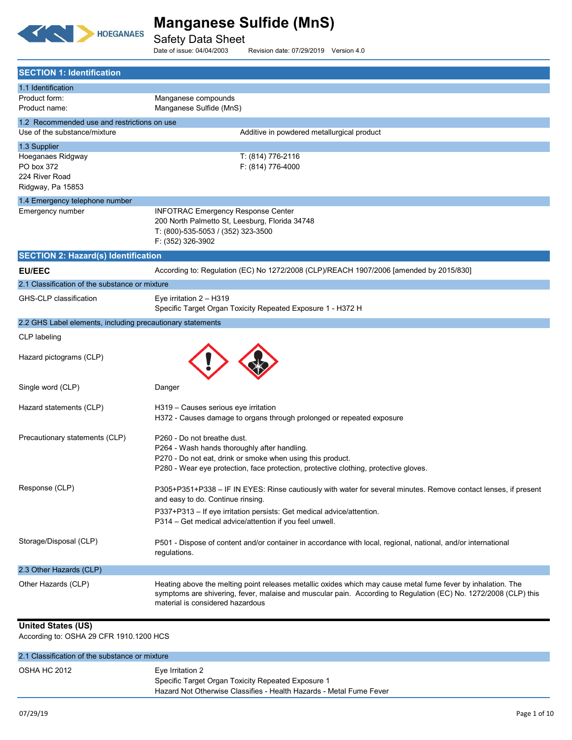

Safety Data Sheet<br>Date of issue: 04/04/2003

Revision date: 07/29/2019 Version 4.0

| <b>SECTION 1: Identification</b>                           |                                                                                                                                                                                                                                                                     |
|------------------------------------------------------------|---------------------------------------------------------------------------------------------------------------------------------------------------------------------------------------------------------------------------------------------------------------------|
| 1.1 Identification                                         |                                                                                                                                                                                                                                                                     |
| Product form:<br>Product name:                             | Manganese compounds<br>Manganese Sulfide (MnS)                                                                                                                                                                                                                      |
| 1.2 Recommended use and restrictions on use                |                                                                                                                                                                                                                                                                     |
| Use of the substance/mixture                               | Additive in powdered metallurgical product                                                                                                                                                                                                                          |
| 1.3 Supplier                                               |                                                                                                                                                                                                                                                                     |
| Hoeganaes Ridgway<br>PO box 372                            | T: (814) 776-2116<br>F: (814) 776-4000                                                                                                                                                                                                                              |
| 224 River Road                                             |                                                                                                                                                                                                                                                                     |
| Ridgway, Pa 15853                                          |                                                                                                                                                                                                                                                                     |
| 1.4 Emergency telephone number                             |                                                                                                                                                                                                                                                                     |
| Emergency number                                           | <b>INFOTRAC Emergency Response Center</b>                                                                                                                                                                                                                           |
|                                                            | 200 North Palmetto St, Leesburg, Florida 34748<br>T: (800)-535-5053 / (352) 323-3500                                                                                                                                                                                |
|                                                            | F: (352) 326-3902                                                                                                                                                                                                                                                   |
| <b>SECTION 2: Hazard(s) Identification</b>                 |                                                                                                                                                                                                                                                                     |
| <b>EU/EEC</b>                                              | According to: Regulation (EC) No 1272/2008 (CLP)/REACH 1907/2006 [amended by 2015/830]                                                                                                                                                                              |
| 2.1 Classification of the substance or mixture             |                                                                                                                                                                                                                                                                     |
| GHS-CLP classification                                     | Eye irritation $2 - H319$<br>Specific Target Organ Toxicity Repeated Exposure 1 - H372 H                                                                                                                                                                            |
| 2.2 GHS Label elements, including precautionary statements |                                                                                                                                                                                                                                                                     |
| CLP labeling                                               |                                                                                                                                                                                                                                                                     |
| Hazard pictograms (CLP)                                    |                                                                                                                                                                                                                                                                     |
| Single word (CLP)                                          | Danger                                                                                                                                                                                                                                                              |
| Hazard statements (CLP)                                    | H319 - Causes serious eye irritation                                                                                                                                                                                                                                |
|                                                            | H372 - Causes damage to organs through prolonged or repeated exposure                                                                                                                                                                                               |
| Precautionary statements (CLP)                             | P260 - Do not breathe dust.                                                                                                                                                                                                                                         |
|                                                            | P264 - Wash hands thoroughly after handling.                                                                                                                                                                                                                        |
|                                                            | P270 - Do not eat, drink or smoke when using this product.                                                                                                                                                                                                          |
|                                                            | P280 - Wear eye protection, face protection, protective clothing, protective gloves.                                                                                                                                                                                |
| Response (CLP)                                             | P305+P351+P338 - IF IN EYES: Rinse cautiously with water for several minutes. Remove contact lenses, if present<br>and easy to do. Continue rinsing.                                                                                                                |
|                                                            | P337+P313 - If eye irritation persists: Get medical advice/attention.                                                                                                                                                                                               |
|                                                            | P314 - Get medical advice/attention if you feel unwell.                                                                                                                                                                                                             |
| Storage/Disposal (CLP)                                     | P501 - Dispose of content and/or container in accordance with local, regional, national, and/or international                                                                                                                                                       |
|                                                            | regulations.                                                                                                                                                                                                                                                        |
| 2.3 Other Hazards (CLP)                                    |                                                                                                                                                                                                                                                                     |
| Other Hazards (CLP)                                        | Heating above the melting point releases metallic oxides which may cause metal fume fever by inhalation. The<br>symptoms are shivering, fever, malaise and muscular pain. According to Regulation (EC) No. 1272/2008 (CLP) this<br>material is considered hazardous |
| <b>United States (US)</b>                                  |                                                                                                                                                                                                                                                                     |

According to: OSHA 29 CFR 1910.1200 HCS

| 2.1 Classification of the substance or mixture |                                                                        |
|------------------------------------------------|------------------------------------------------------------------------|
| <b>OSHA HC 2012</b>                            | Eye Irritation 2<br>Specific Target Organ Toxicity Repeated Exposure 1 |
|                                                | Hazard Not Otherwise Classifies - Health Hazards - Metal Fume Fever    |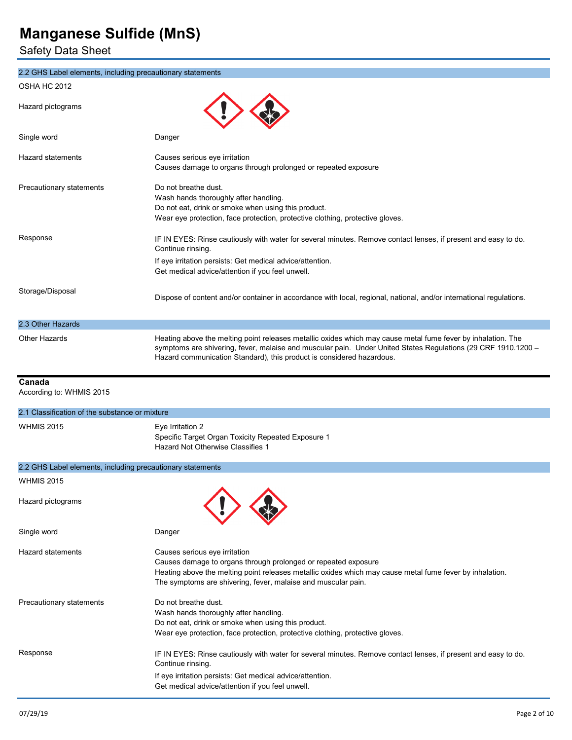Safety Data Sheet

| 2.2 GHS Label elements, including precautionary statements |                                                                                                                                                                                                                                                                                                        |
|------------------------------------------------------------|--------------------------------------------------------------------------------------------------------------------------------------------------------------------------------------------------------------------------------------------------------------------------------------------------------|
| OSHA HC 2012                                               |                                                                                                                                                                                                                                                                                                        |
| Hazard pictograms                                          |                                                                                                                                                                                                                                                                                                        |
| Single word                                                | Danger                                                                                                                                                                                                                                                                                                 |
| Hazard statements                                          | Causes serious eye irritation<br>Causes damage to organs through prolonged or repeated exposure                                                                                                                                                                                                        |
| Precautionary statements                                   | Do not breathe dust.<br>Wash hands thoroughly after handling.<br>Do not eat, drink or smoke when using this product.<br>Wear eye protection, face protection, protective clothing, protective gloves.                                                                                                  |
| Response                                                   | IF IN EYES: Rinse cautiously with water for several minutes. Remove contact lenses, if present and easy to do.<br>Continue rinsing.<br>If eye irritation persists: Get medical advice/attention.                                                                                                       |
|                                                            | Get medical advice/attention if you feel unwell.                                                                                                                                                                                                                                                       |
| Storage/Disposal                                           | Dispose of content and/or container in accordance with local, regional, national, and/or international regulations.                                                                                                                                                                                    |
| 2.3 Other Hazards                                          |                                                                                                                                                                                                                                                                                                        |
| Other Hazards                                              | Heating above the melting point releases metallic oxides which may cause metal fume fever by inhalation. The<br>symptoms are shivering, fever, malaise and muscular pain. Under United States Regulations (29 CRF 1910.1200 -<br>Hazard communication Standard), this product is considered hazardous. |
| Canada                                                     |                                                                                                                                                                                                                                                                                                        |
| According to: WHMIS 2015                                   |                                                                                                                                                                                                                                                                                                        |
| 2.1 Classification of the substance or mixture             |                                                                                                                                                                                                                                                                                                        |
| WHMIS 2015                                                 | Eye Irritation 2<br>Specific Target Organ Toxicity Repeated Exposure 1<br>Hazard Not Otherwise Classifies 1                                                                                                                                                                                            |
| 2.2 GHS Label elements, including precautionary statements |                                                                                                                                                                                                                                                                                                        |
| <b>WHMIS 2015</b>                                          |                                                                                                                                                                                                                                                                                                        |
| Hazard pictograms                                          |                                                                                                                                                                                                                                                                                                        |
| Single word                                                | Danger                                                                                                                                                                                                                                                                                                 |
| <b>Hazard statements</b>                                   | Causes serious eye irritation<br>Causes damage to organs through prolonged or repeated exposure<br>Heating above the melting point releases metallic oxides which may cause metal fume fever by inhalation.<br>The symptoms are shivering, fever, malaise and muscular pain.                           |
| Precautionary statements                                   | Do not breathe dust.<br>Wash hands thoroughly after handling.<br>Do not eat, drink or smoke when using this product.<br>Wear eye protection, face protection, protective clothing, protective gloves.                                                                                                  |
| Response                                                   | IF IN EYES: Rinse cautiously with water for several minutes. Remove contact lenses, if present and easy to do.<br>Continue rinsing.<br>If eye irritation persists: Get medical advice/attention.<br>Get medical advice/attention if you feel unwell.                                                   |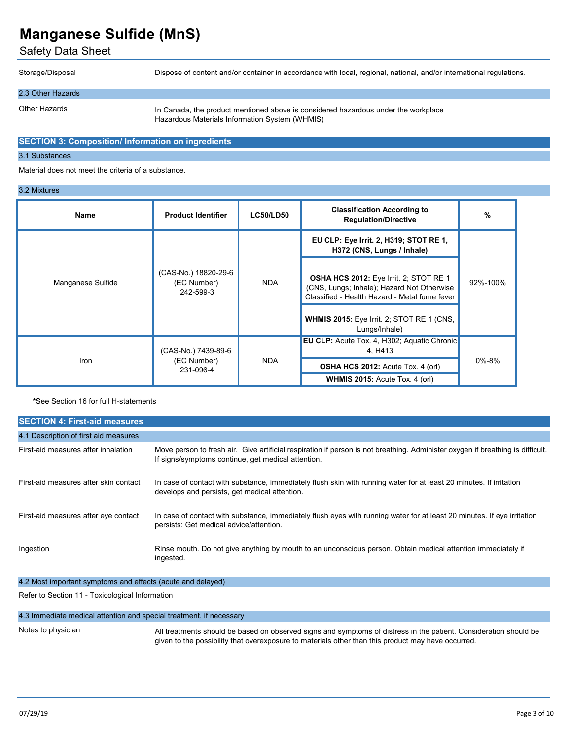Safety Data Sheet

Storage/Disposal

Dispose of content and/or container in accordance with local, regional, national, and/or international regulations.

## 2.3 Other Hazards

Other Hazards

In Canada, the product mentioned above is considered hazardous under the workplace Hazardous Materials Information System (WHMIS)

#### **SECTION 3: Composition/ Information on ingredients**

#### 3.1 Substances

Material does not meet the criteria of a substance.

#### 3.2 Mixtures

| Name              | <b>Product Identifier</b>                        | <b>LC50/LD50</b> | <b>Classification According to</b><br><b>Regulation/Directive</b>                                                                            | $\%$                                                          |             |
|-------------------|--------------------------------------------------|------------------|----------------------------------------------------------------------------------------------------------------------------------------------|---------------------------------------------------------------|-------------|
|                   |                                                  |                  | EU CLP: Eye Irrit. 2, H319; STOT RE 1,<br>H372 (CNS, Lungs / Inhale)                                                                         |                                                               |             |
| Manganese Sulfide | (CAS-No.) 18820-29-6<br>(EC Number)<br>242-599-3 | <b>NDA</b>       | <b>OSHA HCS 2012:</b> Eye Irrit. 2; STOT RE 1<br>(CNS, Lungs; Inhale); Hazard Not Otherwise<br>Classified - Health Hazard - Metal fume fever | 92%-100%                                                      |             |
|                   |                                                  |                  | <b>WHMIS 2015:</b> Eye Irrit. 2; STOT RE 1 (CNS,<br>Lungs/Inhale)                                                                            |                                                               |             |
| Iron              | (CAS-No.) 7439-89-6<br>(EC Number)<br>231-096-4  |                  | <b>NDA</b>                                                                                                                                   | <b>EU CLP:</b> Acute Tox. 4, H302; Aquatic Chronic<br>4. H413 |             |
|                   |                                                  |                  |                                                                                                                                              | <b>OSHA HCS 2012:</b> Acute Tox. 4 (orl)                      | $0\% - 8\%$ |
|                   |                                                  |                  | <b>WHMIS 2015:</b> Acute Tox. 4 (orl)                                                                                                        |                                                               |             |

**\***See Section 16 for full H-statements

| <b>SECTION 4: First-aid measures</b>  |                                                                                                                                                                                      |
|---------------------------------------|--------------------------------------------------------------------------------------------------------------------------------------------------------------------------------------|
| 4.1 Description of first aid measures |                                                                                                                                                                                      |
| First-aid measures after inhalation   | Move person to fresh air. Give artificial respiration if person is not breathing. Administer oxygen if breathing is difficult.<br>If signs/symptoms continue, get medical attention. |
| First-aid measures after skin contact | In case of contact with substance, immediately flush skin with running water for at least 20 minutes. If irritation<br>develops and persists, get medical attention.                 |
| First-aid measures after eye contact  | In case of contact with substance, immediately flush eyes with running water for at least 20 minutes. If eye irritation<br>persists: Get medical advice/attention.                   |
| Ingestion                             | Rinse mouth. Do not give anything by mouth to an unconscious person. Obtain medical attention immediately if<br>ingested.                                                            |

4.2 Most important symptoms and effects (acute and delayed)

Refer to Section 11 - Toxicological Information

#### 4.3 Immediate medical attention and special treatment, if necessary

#### Notes to physician

All treatments should be based on observed signs and symptoms of distress in the patient. Consideration should be given to the possibility that overexposure to materials other than this product may have occurred.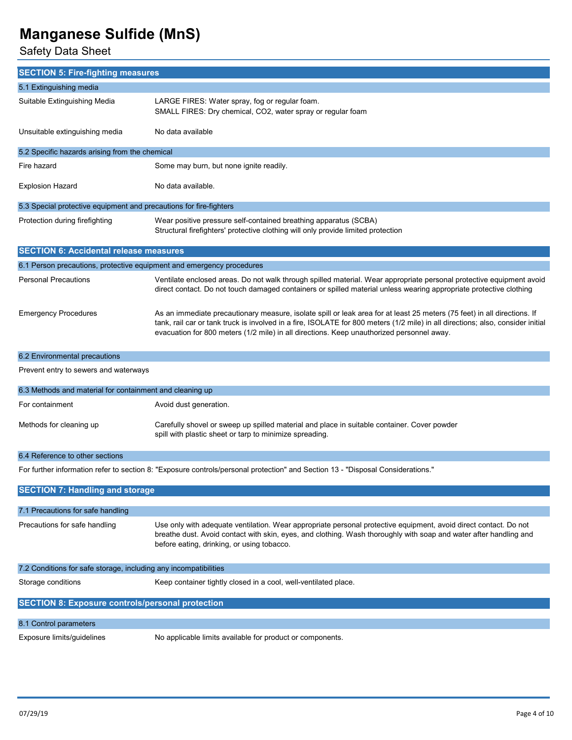Safety Data Sheet

| <b>SECTION 5: Fire-fighting measures</b>                              |                                                                                                                                                                                                                                                                                                                                                          |
|-----------------------------------------------------------------------|----------------------------------------------------------------------------------------------------------------------------------------------------------------------------------------------------------------------------------------------------------------------------------------------------------------------------------------------------------|
| 5.1 Extinguishing media                                               |                                                                                                                                                                                                                                                                                                                                                          |
| Suitable Extinguishing Media                                          | LARGE FIRES: Water spray, fog or regular foam.<br>SMALL FIRES: Dry chemical, CO2, water spray or regular foam                                                                                                                                                                                                                                            |
| Unsuitable extinguishing media                                        | No data available                                                                                                                                                                                                                                                                                                                                        |
| 5.2 Specific hazards arising from the chemical                        |                                                                                                                                                                                                                                                                                                                                                          |
| Fire hazard                                                           | Some may burn, but none ignite readily.                                                                                                                                                                                                                                                                                                                  |
| <b>Explosion Hazard</b>                                               | No data available.                                                                                                                                                                                                                                                                                                                                       |
| 5.3 Special protective equipment and precautions for fire-fighters    |                                                                                                                                                                                                                                                                                                                                                          |
| Protection during firefighting                                        | Wear positive pressure self-contained breathing apparatus (SCBA)<br>Structural firefighters' protective clothing will only provide limited protection                                                                                                                                                                                                    |
| <b>SECTION 6: Accidental release measures</b>                         |                                                                                                                                                                                                                                                                                                                                                          |
| 6.1 Person precautions, protective equipment and emergency procedures |                                                                                                                                                                                                                                                                                                                                                          |
| <b>Personal Precautions</b>                                           | Ventilate enclosed areas. Do not walk through spilled material. Wear appropriate personal protective equipment avoid<br>direct contact. Do not touch damaged containers or spilled material unless wearing appropriate protective clothing                                                                                                               |
| <b>Emergency Procedures</b>                                           | As an immediate precautionary measure, isolate spill or leak area for at least 25 meters (75 feet) in all directions. If<br>tank, rail car or tank truck is involved in a fire, ISOLATE for 800 meters (1/2 mile) in all directions; also, consider initial<br>evacuation for 800 meters (1/2 mile) in all directions. Keep unauthorized personnel away. |
| 6.2 Environmental precautions                                         |                                                                                                                                                                                                                                                                                                                                                          |
| Prevent entry to sewers and waterways                                 |                                                                                                                                                                                                                                                                                                                                                          |
| 6.3 Methods and material for containment and cleaning up              |                                                                                                                                                                                                                                                                                                                                                          |
| For containment                                                       | Avoid dust generation.                                                                                                                                                                                                                                                                                                                                   |
| Methods for cleaning up                                               | Carefully shovel or sweep up spilled material and place in suitable container. Cover powder<br>spill with plastic sheet or tarp to minimize spreading.                                                                                                                                                                                                   |
| 6.4 Reference to other sections                                       |                                                                                                                                                                                                                                                                                                                                                          |
|                                                                       | For further information refer to section 8: "Exposure controls/personal protection" and Section 13 - "Disposal Considerations."                                                                                                                                                                                                                          |
| <b>SECTION 7: Handling and storage</b>                                |                                                                                                                                                                                                                                                                                                                                                          |
| 7.1 Precautions for safe handling                                     |                                                                                                                                                                                                                                                                                                                                                          |
| Precautions for safe handling                                         | Use only with adequate ventilation. Wear appropriate personal protective equipment, avoid direct contact. Do not<br>breathe dust. Avoid contact with skin, eyes, and clothing. Wash thoroughly with soap and water after handling and<br>before eating, drinking, or using tobacco.                                                                      |
| 7.2 Conditions for safe storage, including any incompatibilities      |                                                                                                                                                                                                                                                                                                                                                          |
| Storage conditions                                                    | Keep container tightly closed in a cool, well-ventilated place.                                                                                                                                                                                                                                                                                          |
| <b>SECTION 8: Exposure controls/personal protection</b>               |                                                                                                                                                                                                                                                                                                                                                          |
| 8.1 Control parameters                                                |                                                                                                                                                                                                                                                                                                                                                          |
| Exposure limits/guidelines                                            | No applicable limits available for product or components.                                                                                                                                                                                                                                                                                                |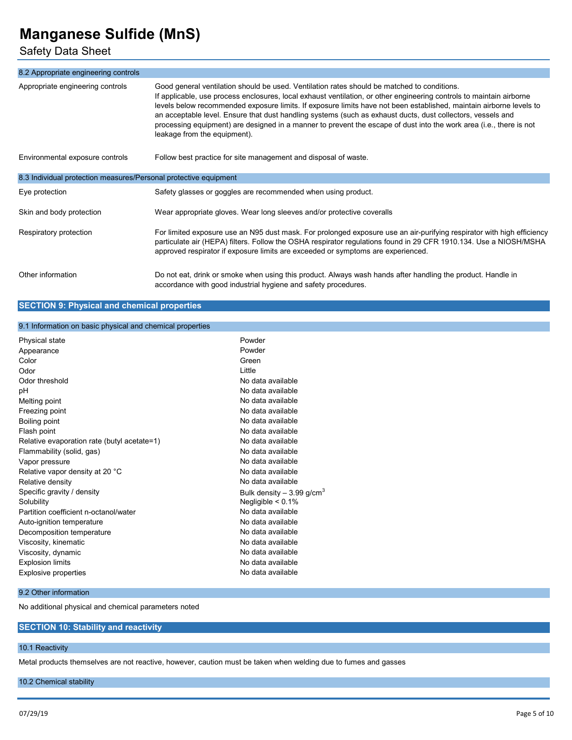# Safety Data Sheet

| 8.2 Appropriate engineering controls                             |                                                                                                                                                                                                                                                                                                                                                                                                                                                                                                                                                                                                                  |
|------------------------------------------------------------------|------------------------------------------------------------------------------------------------------------------------------------------------------------------------------------------------------------------------------------------------------------------------------------------------------------------------------------------------------------------------------------------------------------------------------------------------------------------------------------------------------------------------------------------------------------------------------------------------------------------|
| Appropriate engineering controls                                 | Good general ventilation should be used. Ventilation rates should be matched to conditions.<br>If applicable, use process enclosures, local exhaust ventilation, or other engineering controls to maintain airborne<br>levels below recommended exposure limits. If exposure limits have not been established, maintain airborne levels to<br>an acceptable level. Ensure that dust handling systems (such as exhaust ducts, dust collectors, vessels and<br>processing equipment) are designed in a manner to prevent the escape of dust into the work area (i.e., there is not<br>leakage from the equipment). |
| Environmental exposure controls                                  | Follow best practice for site management and disposal of waste.                                                                                                                                                                                                                                                                                                                                                                                                                                                                                                                                                  |
| 8.3 Individual protection measures/Personal protective equipment |                                                                                                                                                                                                                                                                                                                                                                                                                                                                                                                                                                                                                  |
| Eye protection                                                   | Safety glasses or goggles are recommended when using product.                                                                                                                                                                                                                                                                                                                                                                                                                                                                                                                                                    |
| Skin and body protection                                         | Wear appropriate gloves. Wear long sleeves and/or protective coveralls                                                                                                                                                                                                                                                                                                                                                                                                                                                                                                                                           |
| Respiratory protection                                           | For limited exposure use an N95 dust mask. For prolonged exposure use an air-purifying respirator with high efficiency<br>particulate air (HEPA) filters. Follow the OSHA respirator regulations found in 29 CFR 1910.134. Use a NIOSH/MSHA<br>approved respirator if exposure limits are exceeded or symptoms are experienced.                                                                                                                                                                                                                                                                                  |
| Other information                                                | Do not eat, drink or smoke when using this product. Always wash hands after handling the product. Handle in<br>accordance with good industrial hygiene and safety procedures.                                                                                                                                                                                                                                                                                                                                                                                                                                    |

## **SECTION 9: Physical and chemical properties**

### 9.1 Information on basic physical and chemical properties

| Physical state                              | Powder                                 |
|---------------------------------------------|----------------------------------------|
| Appearance                                  | Powder                                 |
| Color                                       | Green                                  |
| Odor                                        | Little                                 |
| Odor threshold                              | No data available                      |
| рH                                          | No data available                      |
| Melting point                               | No data available                      |
| Freezing point                              | No data available                      |
| Boiling point                               | No data available                      |
| Flash point                                 | No data available                      |
| Relative evaporation rate (butyl acetate=1) | No data available                      |
| Flammability (solid, gas)                   | No data available                      |
| Vapor pressure                              | No data available                      |
| Relative vapor density at 20 °C             | No data available                      |
| Relative density                            | No data available                      |
| Specific gravity / density                  | Bulk density $-3.99$ g/cm <sup>3</sup> |
| Solubility                                  | Negligible $< 0.1\%$                   |
| Partition coefficient n-octanol/water       | No data available                      |
| Auto-ignition temperature                   | No data available                      |
| Decomposition temperature                   | No data available                      |
| Viscosity, kinematic                        | No data available                      |
| Viscosity, dynamic                          | No data available                      |
| <b>Explosion limits</b>                     | No data available                      |
| Explosive properties                        | No data available                      |
|                                             |                                        |

#### 9.2 Other information

No additional physical and chemical parameters noted

## **SECTION 10: Stability and reactivity**

### 10.1 Reactivity

Metal products themselves are not reactive, however, caution must be taken when welding due to fumes and gasses

10.2 Chemical stability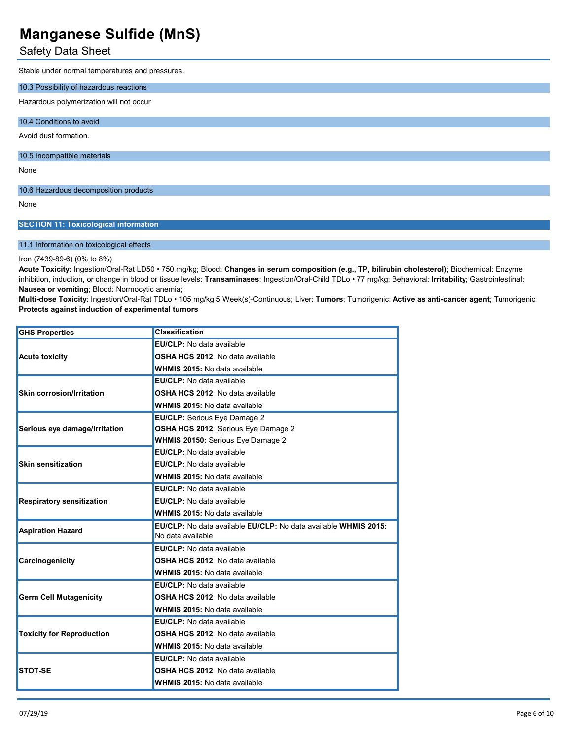# Safety Data Sheet

Stable under normal temperatures and pressures.

| 10.3 Possibility of hazardous reactions |
|-----------------------------------------|
| Hazardous polymerization will not occur |
| 10.4 Conditions to avoid                |
| Avoid dust formation.                   |
| 10.5 Incompatible materials             |
| None                                    |
| 10.6 Hazardous decomposition products   |
| None                                    |

### **SECTION 11: Toxicological information**

#### 11.1 Information on toxicological effects

#### Iron (7439-89-6) (0% to 8%)

**Acute Toxicity:** Ingestion/Oral-Rat LD50 • 750 mg/kg; Blood: **Changes in serum composition (e.g., TP, bilirubin cholesterol)**; Biochemical: Enzyme inhibition, induction, or change in blood or tissue levels: **Transaminases**; Ingestion/Oral-Child TDLo • 77 mg/kg; Behavioral: **Irritability**; Gastrointestinal: **Nausea or vomiting**; Blood: Normocytic anemia;

**Multi-dose Toxicity**: Ingestion/Oral-Rat TDLo • 105 mg/kg 5 Week(s)-Continuous; Liver: **Tumors**; Tumorigenic: **Active as anti-cancer agent**; Tumorigenic: **Protects against induction of experimental tumors**

| <b>GHS Properties</b>            | <b>Classification</b>                                           |
|----------------------------------|-----------------------------------------------------------------|
|                                  | EU/CLP: No data available                                       |
| <b>Acute toxicity</b>            | OSHA HCS 2012: No data available                                |
|                                  | <b>WHMIS 2015: No data available</b>                            |
|                                  | <b>EU/CLP:</b> No data available                                |
| <b>Skin corrosion/Irritation</b> | OSHA HCS 2012: No data available                                |
|                                  | <b>WHMIS 2015: No data available</b>                            |
|                                  | <b>EU/CLP: Serious Eye Damage 2</b>                             |
| Serious eye damage/Irritation    | OSHA HCS 2012: Serious Eye Damage 2                             |
|                                  | WHMIS 20150: Serious Eye Damage 2                               |
|                                  | EU/CLP: No data available                                       |
| <b>Skin sensitization</b>        | EU/CLP: No data available                                       |
|                                  | <b>WHMIS 2015: No data available</b>                            |
|                                  | EU/CLP: No data available                                       |
| <b>Respiratory sensitization</b> | EU/CLP: No data available                                       |
|                                  | <b>WHMIS 2015: No data available</b>                            |
| <b>Aspiration Hazard</b>         | EU/CLP: No data available EU/CLP: No data available WHMIS 2015: |
|                                  | No data available                                               |
|                                  | EU/CLP: No data available                                       |
| Carcinogenicity                  | OSHA HCS 2012: No data available                                |
|                                  | <b>WHMIS 2015: No data available</b>                            |
|                                  | <b>EU/CLP:</b> No data available                                |
| <b>Germ Cell Mutagenicity</b>    | OSHA HCS 2012: No data available                                |
|                                  | <b>WHMIS 2015: No data available</b>                            |
|                                  | EU/CLP: No data available                                       |
| <b>Toxicity for Reproduction</b> | OSHA HCS 2012: No data available                                |
|                                  | <b>WHMIS 2015: No data available</b>                            |
|                                  | <b>EU/CLP:</b> No data available                                |
| <b>STOT-SE</b>                   | <b>OSHA HCS 2012: No data available</b>                         |
|                                  | <b>WHMIS 2015: No data available</b>                            |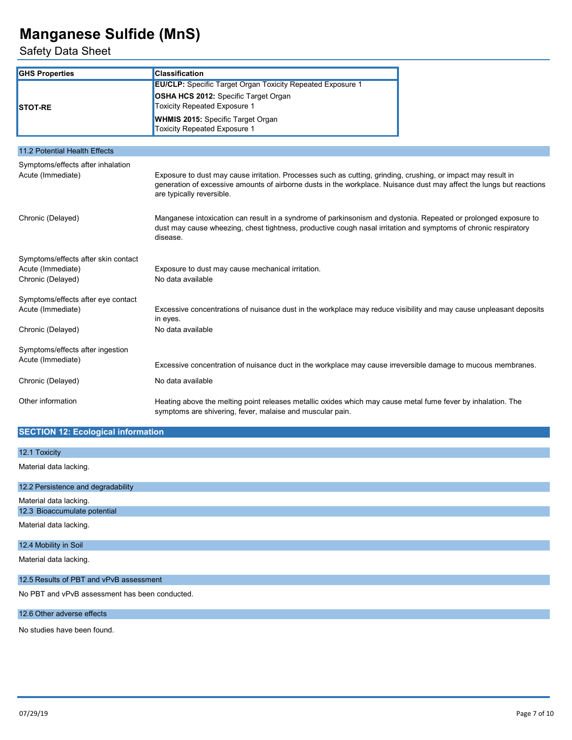Safety Data Sheet

| <b>GHS Properties</b>               | <b>Classification</b>                                                                                                                                                                                                                                              |  |  |
|-------------------------------------|--------------------------------------------------------------------------------------------------------------------------------------------------------------------------------------------------------------------------------------------------------------------|--|--|
|                                     | <b>EU/CLP:</b> Specific Target Organ Toxicity Repeated Exposure 1                                                                                                                                                                                                  |  |  |
|                                     | OSHA HCS 2012: Specific Target Organ                                                                                                                                                                                                                               |  |  |
| <b>STOT-RE</b>                      | <b>Toxicity Repeated Exposure 1</b>                                                                                                                                                                                                                                |  |  |
|                                     | <b>WHMIS 2015:</b> Specific Target Organ                                                                                                                                                                                                                           |  |  |
|                                     | <b>Toxicity Repeated Exposure 1</b>                                                                                                                                                                                                                                |  |  |
| 11.2 Potential Health Effects       |                                                                                                                                                                                                                                                                    |  |  |
| Symptoms/effects after inhalation   |                                                                                                                                                                                                                                                                    |  |  |
| Acute (Immediate)                   | Exposure to dust may cause irritation. Processes such as cutting, grinding, crushing, or impact may result in<br>generation of excessive amounts of airborne dusts in the workplace. Nuisance dust may affect the lungs but reactions<br>are typically reversible. |  |  |
| Chronic (Delayed)                   | Manganese intoxication can result in a syndrome of parkinsonism and dystonia. Repeated or prolonged exposure to<br>dust may cause wheezing, chest tightness, productive cough nasal irritation and symptoms of chronic respiratory<br>disease.                     |  |  |
| Symptoms/effects after skin contact |                                                                                                                                                                                                                                                                    |  |  |
| Acute (Immediate)                   | Exposure to dust may cause mechanical irritation.                                                                                                                                                                                                                  |  |  |
| Chronic (Delayed)                   | No data available                                                                                                                                                                                                                                                  |  |  |
| Symptoms/effects after eye contact  |                                                                                                                                                                                                                                                                    |  |  |
| Acute (Immediate)                   | Excessive concentrations of nuisance dust in the workplace may reduce visibility and may cause unpleasant deposits                                                                                                                                                 |  |  |
|                                     | in eyes.                                                                                                                                                                                                                                                           |  |  |
| Chronic (Delayed)                   | No data available                                                                                                                                                                                                                                                  |  |  |
| Symptoms/effects after ingestion    |                                                                                                                                                                                                                                                                    |  |  |
| Acute (Immediate)                   | Excessive concentration of nuisance duct in the workplace may cause irreversible damage to mucous membranes.                                                                                                                                                       |  |  |
| Chronic (Delayed)                   | No data available                                                                                                                                                                                                                                                  |  |  |
| Other information                   | Heating above the melting point releases metallic oxides which may cause metal fume fever by inhalation. The<br>symptoms are shivering, fever, malaise and muscular pain.                                                                                          |  |  |

# **SECTION 12: Ecological information**

| 12.1 Toxicity                      |
|------------------------------------|
| Material data lacking.             |
| 12.2 Persistence and degradability |
| Material data lacking.             |
| 12.3 Bioaccumulate potential       |
| Material data lacking.             |
| 12.4 Mobility in Soil              |

Material data lacking.

### 12.5 Results of PBT and vPvB assessment

No PBT and vPvB assessment has been conducted.

#### 12.6 Other adverse effects

No studies have been found.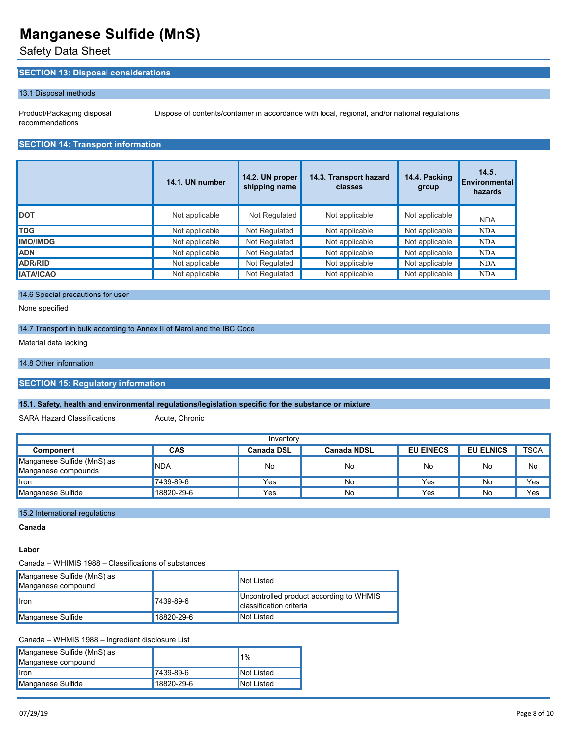Safety Data Sheet

## **SECTION 13: Disposal considerations**

#### 13.1 Disposal methods

Product/Packaging disposal recommendations

Dispose of contents/container in accordance with local, regional, and/or national regulations

# **SECTION 14: Transport information**

|                  | 14.1. UN number | 14.2. UN proper<br>shipping name | 14.3. Transport hazard<br>classes | 14.4. Packing<br>group | 14.5.<br>Environmental<br>hazards |
|------------------|-----------------|----------------------------------|-----------------------------------|------------------------|-----------------------------------|
| <b>DOT</b>       | Not applicable  | Not Regulated                    | Not applicable                    | Not applicable         | <b>NDA</b>                        |
| <b>TDG</b>       | Not applicable  | Not Regulated                    | Not applicable                    | Not applicable         | <b>NDA</b>                        |
| <b>IMO/IMDG</b>  | Not applicable  | Not Regulated                    | Not applicable                    | Not applicable         | <b>NDA</b>                        |
| <b>ADN</b>       | Not applicable  | Not Regulated                    | Not applicable                    | Not applicable         | <b>NDA</b>                        |
| ADR/RID          | Not applicable  | Not Regulated                    | Not applicable                    | Not applicable         | <b>NDA</b>                        |
| <b>IATA/ICAO</b> | Not applicable  | Not Regulated                    | Not applicable                    | Not applicable         | <b>NDA</b>                        |

### 14.6 Special precautions for user

None specified

#### 14.7 Transport in bulk according to Annex II of Marol and the IBC Code

Material data lacking

#### 14.8 Other information

#### **SECTION 15: Regulatory information**

#### **15.1. Safety, health and environmental regulations/legislation specific for the substance or mixture**

SARA Hazard Classifications **Acute**, Chronic

| Inventory                                         |            |                   |                    |                  |                  |             |
|---------------------------------------------------|------------|-------------------|--------------------|------------------|------------------|-------------|
| Component                                         | <b>CAS</b> | <b>Canada DSL</b> | <b>Canada NDSL</b> | <b>EU EINECS</b> | <b>EU ELNICS</b> | <b>TSCA</b> |
| Manganese Sulfide (MnS) as<br>Manganese compounds | <b>NDA</b> | No                | No                 | No               | No               | No          |
| Iron                                              | 7439-89-6  | Yes               | No                 | Yes              | No               | Yes         |
| Manganese Sulfide                                 | 18820-29-6 | Yes               | No                 | Yes              | No               | Yes         |

#### 15.2 International regulations

**Canada**

#### **Labor**

Canada – WHIMIS 1988 – Classifications of substances

| Manganese Sulfide (MnS) as<br>Manganese compound |            | Not Listed                                                                |
|--------------------------------------------------|------------|---------------------------------------------------------------------------|
| <b>I</b> ron                                     | 7439-89-6  | Uncontrolled product according to WHMIS<br><b>Classification criteria</b> |
| Manganese Sulfide                                | 18820-29-6 | Not Listed                                                                |

Canada – WHMIS 1988 – Ingredient disclosure List

| Manganese Sulfide (MnS) as<br>Manganese compound |            | <b>11%</b> |
|--------------------------------------------------|------------|------------|
| <b>I</b> ron                                     | 7439-89-6  | Not Listed |
| Manganese Sulfide                                | 18820-29-6 | Not Listed |
|                                                  |            |            |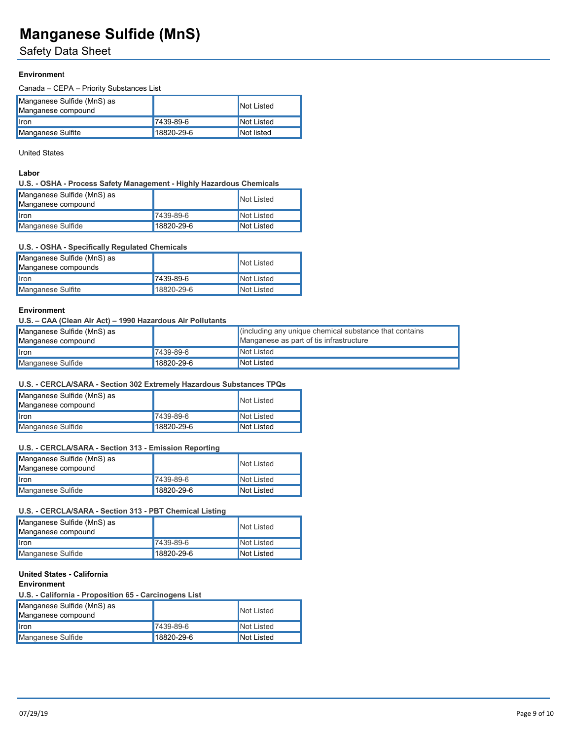# Safety Data Sheet

## **Environmen**t

Canada – CEPA – Priority Substances List

| Manganese Sulfide (MnS) as<br>Manganese compound |            | Not Listed |
|--------------------------------------------------|------------|------------|
| <b>I</b> ron                                     | 7439-89-6  | Not Listed |
| Manganese Sulfite                                | 18820-29-6 | Not listed |

#### United States

## **Labor**

#### **U.S. - OSHA - Process Safety Management - Highly Hazardous Chemicals**

| Manganese Sulfide (MnS) as<br>Manganese compound |            | Not Listed |
|--------------------------------------------------|------------|------------|
| <b>I</b> ron                                     | 7439-89-6  | Not Listed |
| Manganese Sulfide                                | 18820-29-6 | Not Listed |

#### **U.S. - OSHA - Specifically Regulated Chemicals**

| Manganese Sulfide (MnS) as<br>Manganese compounds |            | Not Listed |
|---------------------------------------------------|------------|------------|
| <b>I</b> ron                                      | 7439-89-6  | Not Listed |
| Manganese Sulfite                                 | 18820-29-6 | Not Listed |

### **Environment**

**U.S. – CAA (Clean Air Act) – 1990 Hazardous Air Pollutants**

| Manganese Sulfide (MnS) as<br>Manganese compound |            | cincluding any unique chemical substance that contains<br>Manganese as part of tis infrastructure |
|--------------------------------------------------|------------|---------------------------------------------------------------------------------------------------|
| <b>I</b> lron                                    | 7439-89-6  | Not Listed                                                                                        |
| Manganese Sulfide                                | 18820-29-6 | Not Listed                                                                                        |

### **U.S. - CERCLA/SARA - Section 302 Extremely Hazardous Substances TPQs**

| Manganese Sulfide (MnS) as<br>Manganese compound |            | Not Listed |
|--------------------------------------------------|------------|------------|
| <b>I</b> ron                                     | 7439-89-6  | Not Listed |
| Manganese Sulfide                                | 18820-29-6 | Not Listed |

### **U.S. - CERCLA/SARA - Section 313 - Emission Reporting**

| Manganese Sulfide (MnS) as<br>Manganese compound |            | Not Listed |
|--------------------------------------------------|------------|------------|
| <b>I</b> ron                                     | 7439-89-6  | Not Listed |
| Manganese Sulfide                                | 18820-29-6 | Not Listed |

### **U.S. - CERCLA/SARA - Section 313 - PBT Chemical Listing**

| Manganese Sulfide (MnS) as<br>Manganese compound |                 | Not Listed |
|--------------------------------------------------|-----------------|------------|
| <b>I</b> ron                                     | $7439 - 89 - 6$ | Not Listed |
| Manganese Sulfide                                | 18820-29-6      | Not Listed |

### **United States - California**

## **Environment**

**U.S. - California - Proposition 65 - Carcinogens List**

| Manganese Sulfide (MnS) as<br>Manganese compound |            | Not Listed |
|--------------------------------------------------|------------|------------|
| <b>I</b> ron                                     | 7439-89-6  | Not Listed |
| Manganese Sulfide                                | 18820-29-6 | Not Listed |